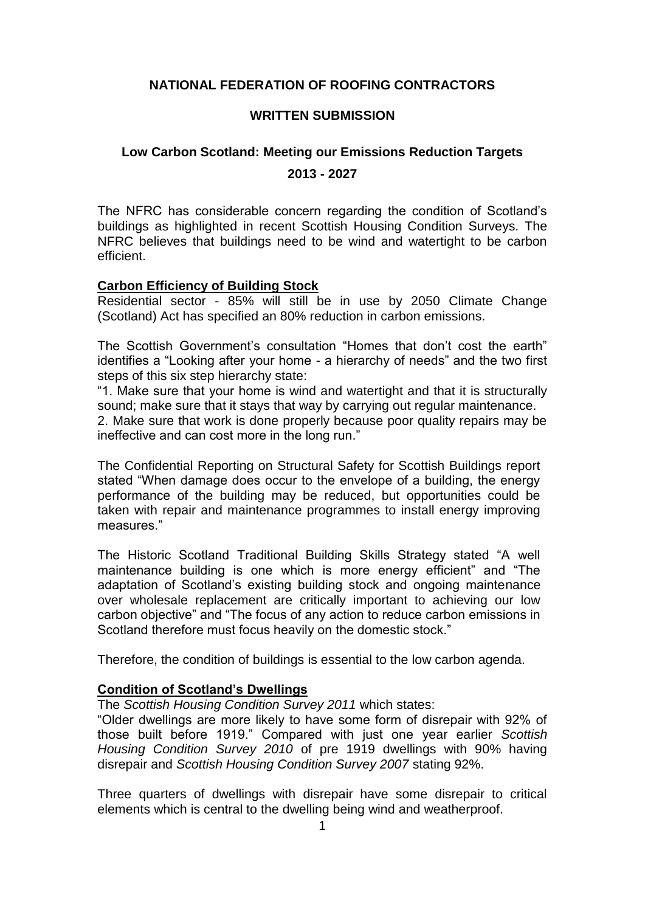# **NATIONAL FEDERATION OF ROOFING CONTRACTORS**

#### **WRITTEN SUBMISSION**

## **Low Carbon Scotland: Meeting our Emissions Reduction Targets**

#### **2013 - 2027**

The NFRC has considerable concern regarding the condition of Scotland's buildings as highlighted in recent Scottish Housing Condition Surveys. The NFRC believes that buildings need to be wind and watertight to be carbon efficient.

## **Carbon Efficiency of Building Stock**

Residential sector - 85% will still be in use by 2050 Climate Change (Scotland) Act has specified an 80% reduction in carbon emissions.

The Scottish Government's consultation "Homes that don't cost the earth" identifies a "Looking after your home - a hierarchy of needs" and the two first steps of this six step hierarchy state:

"1. Make sure that your home is wind and watertight and that it is structurally sound; make sure that it stays that way by carrying out regular maintenance. 2. Make sure that work is done properly because poor quality repairs may be

ineffective and can cost more in the long run."

The Confidential Reporting on Structural Safety for Scottish Buildings report stated "When damage does occur to the envelope of a building, the energy performance of the building may be reduced, but opportunities could be taken with repair and maintenance programmes to install energy improving measures."

The Historic Scotland Traditional Building Skills Strategy stated "A well maintenance building is one which is more energy efficient" and "The adaptation of Scotland's existing building stock and ongoing maintenance over wholesale replacement are critically important to achieving our low carbon objective" and "The focus of any action to reduce carbon emissions in Scotland therefore must focus heavily on the domestic stock."

Therefore, the condition of buildings is essential to the low carbon agenda.

# **Condition of Scotland's Dwellings**

The *Scottish Housing Condition Survey 2011* which states:

"Older dwellings are more likely to have some form of disrepair with 92% of those built before 1919." Compared with just one year earlier *Scottish Housing Condition Survey 2010* of pre 1919 dwellings with 90% having disrepair and *Scottish Housing Condition Survey 2007* stating 92%.

Three quarters of dwellings with disrepair have some disrepair to critical elements which is central to the dwelling being wind and weatherproof.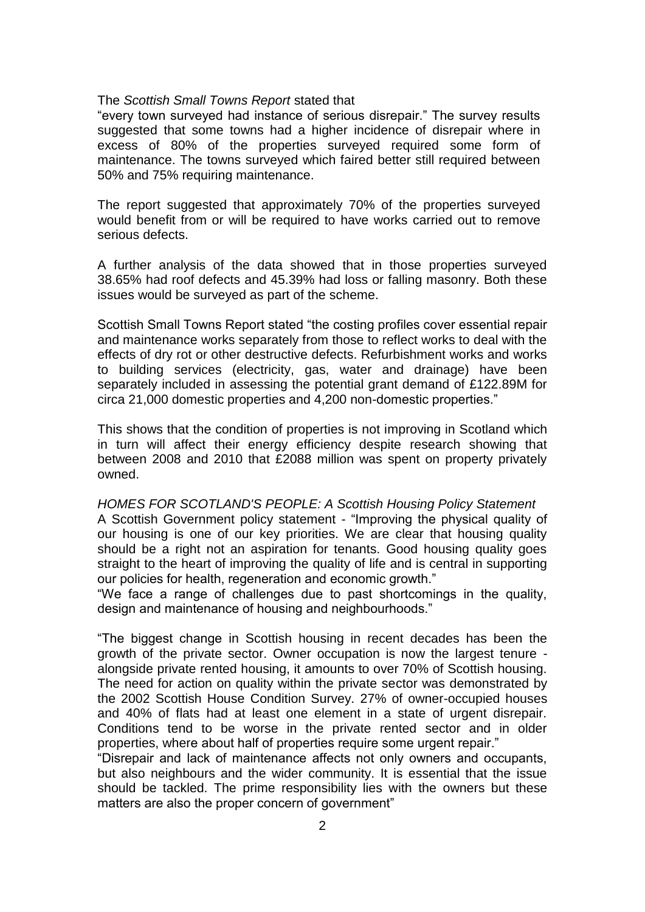#### The *Scottish Small Towns Report* stated that

"every town surveyed had instance of serious disrepair." The survey results suggested that some towns had a higher incidence of disrepair where in excess of 80% of the properties surveyed required some form of maintenance. The towns surveyed which faired better still required between 50% and 75% requiring maintenance.

The report suggested that approximately 70% of the properties surveyed would benefit from or will be required to have works carried out to remove serious defects.

A further analysis of the data showed that in those properties surveyed 38.65% had roof defects and 45.39% had loss or falling masonry. Both these issues would be surveyed as part of the scheme.

Scottish Small Towns Report stated "the costing profiles cover essential repair and maintenance works separately from those to reflect works to deal with the effects of dry rot or other destructive defects. Refurbishment works and works to building services (electricity, gas, water and drainage) have been separately included in assessing the potential grant demand of £122.89M for circa 21,000 domestic properties and 4,200 non-domestic properties."

This shows that the condition of properties is not improving in Scotland which in turn will affect their energy efficiency despite research showing that between 2008 and 2010 that £2088 million was spent on property privately owned.

*HOMES FOR SCOTLAND'S PEOPLE: A Scottish Housing Policy Statement* A Scottish Government policy statement - "Improving the physical quality of our housing is one of our key priorities. We are clear that housing quality should be a right not an aspiration for tenants. Good housing quality goes straight to the heart of improving the quality of life and is central in supporting our policies for health, regeneration and economic growth."

"We face a range of challenges due to past shortcomings in the quality, design and maintenance of housing and neighbourhoods."

"The biggest change in Scottish housing in recent decades has been the growth of the private sector. Owner occupation is now the largest tenure alongside private rented housing, it amounts to over 70% of Scottish housing. The need for action on quality within the private sector was demonstrated by the 2002 Scottish House Condition Survey. 27% of owner-occupied houses and 40% of flats had at least one element in a state of urgent disrepair. Conditions tend to be worse in the private rented sector and in older properties, where about half of properties require some urgent repair."

"Disrepair and lack of maintenance affects not only owners and occupants, but also neighbours and the wider community. It is essential that the issue should be tackled. The prime responsibility lies with the owners but these matters are also the proper concern of government"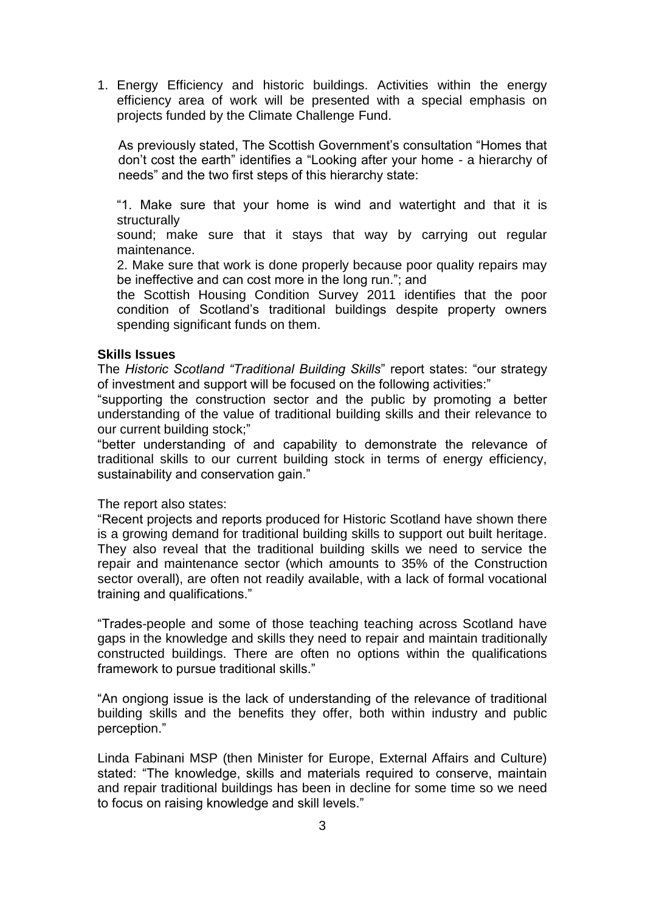1. Energy Efficiency and historic buildings. Activities within the energy efficiency area of work will be presented with a special emphasis on projects funded by the Climate Challenge Fund.

As previously stated, The Scottish Government's consultation "Homes that don't cost the earth" identifies a "Looking after your home - a hierarchy of needs" and the two first steps of this hierarchy state:

"1. Make sure that your home is wind and watertight and that it is structurally

sound; make sure that it stays that way by carrying out regular maintenance.

2. Make sure that work is done properly because poor quality repairs may be ineffective and can cost more in the long run."; and

the Scottish Housing Condition Survey 2011 identifies that the poor condition of Scotland's traditional buildings despite property owners spending significant funds on them.

#### **Skills Issues**

The *Historic Scotland "Traditional Building Skills*" report states: "our strategy of investment and support will be focused on the following activities:"

"supporting the construction sector and the public by promoting a better understanding of the value of traditional building skills and their relevance to our current building stock;"

"better understanding of and capability to demonstrate the relevance of traditional skills to our current building stock in terms of energy efficiency, sustainability and conservation gain."

The report also states:

"Recent projects and reports produced for Historic Scotland have shown there is a growing demand for traditional building skills to support out built heritage. They also reveal that the traditional building skills we need to service the repair and maintenance sector (which amounts to 35% of the Construction sector overall), are often not readily available, with a lack of formal vocational training and qualifications."

"Trades-people and some of those teaching teaching across Scotland have gaps in the knowledge and skills they need to repair and maintain traditionally constructed buildings. There are often no options within the qualifications framework to pursue traditional skills."

"An ongiong issue is the lack of understanding of the relevance of traditional building skills and the benefits they offer, both within industry and public perception."

Linda Fabinani MSP (then Minister for Europe, External Affairs and Culture) stated: "The knowledge, skills and materials required to conserve, maintain and repair traditional buildings has been in decline for some time so we need to focus on raising knowledge and skill levels."